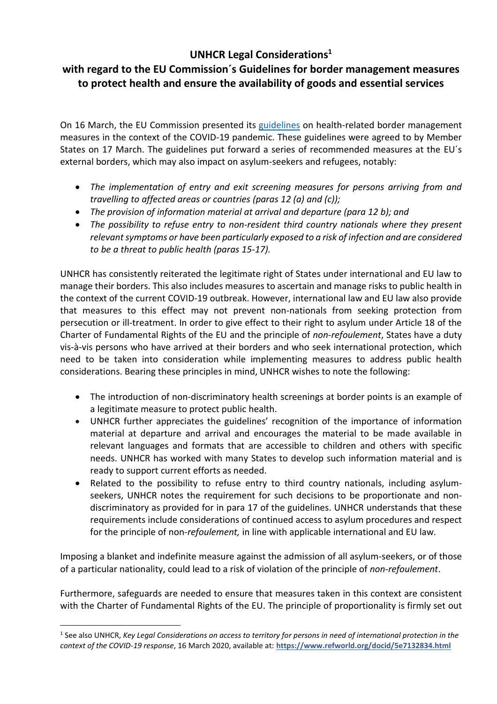## **UNHCR Legal Considerations<sup>1</sup>**

## **with regard to the EU Commission´s Guidelines for border management measures to protect health and ensure the availability of goods and essential services**

On 16 March, the EU Commission presented its [guidelines](https://ec.europa.eu/commission/presscorner/detail/en/ip_20_468) on health-related border management measures in the context of the COVID-19 pandemic. These guidelines were agreed to by Member States on 17 March. The guidelines put forward a series of recommended measures at the EU´s external borders, which may also impact on asylum-seekers and refugees, notably:

- *The implementation of entry and exit screening measures for persons arriving from and travelling to affected areas or countries (paras 12 (a) and (c));*
- *The provision of information material at arrival and departure (para 12 b); and*
- *The possibility to refuse entry to non-resident third country nationals where they present relevantsymptoms or have been particularly exposed to a risk of infection and are considered to be a threat to public health (paras 15-17).*

UNHCR has consistently reiterated the legitimate right of States under international and EU law to manage their borders. This also includes measures to ascertain and manage risks to public health in the context of the current COVID-19 outbreak. However, international law and EU law also provide that measures to this effect may not prevent non-nationals from seeking protection from persecution or ill-treatment. In order to give effect to their right to asylum under Article 18 of the Charter of Fundamental Rights of the EU and the principle of *non*-*refoulement*, States have a duty vis-à-vis persons who have arrived at their borders and who seek international protection, which need to be taken into consideration while implementing measures to address public health considerations. Bearing these principles in mind, UNHCR wishes to note the following:

- The introduction of non-discriminatory health screenings at border points is an example of a legitimate measure to protect public health.
- UNHCR further appreciates the guidelines' recognition of the importance of information material at departure and arrival and encourages the material to be made available in relevant languages and formats that are accessible to children and others with specific needs. UNHCR has worked with many States to develop such information material and is ready to support current efforts as needed.
- Related to the possibility to refuse entry to third country nationals, including asylumseekers, UNHCR notes the requirement for such decisions to be proportionate and nondiscriminatory as provided for in para 17 of the guidelines. UNHCR understands that these requirements include considerations of continued access to asylum procedures and respect for the principle of non-*refoulement,* in line with applicable international and EU law*.*

Imposing a blanket and indefinite measure against the admission of all asylum-seekers, or of those of a particular nationality, could lead to a risk of violation of the principle of *non-refoulement*.

Furthermore, safeguards are needed to ensure that measures taken in this context are consistent with the Charter of Fundamental Rights of the EU. The principle of proportionality is firmly set out

<sup>1</sup> See also UNHCR, *Key Legal Considerations on access to territory for persons in need of international protection in the context of the COVID-19 response*, 16 March 2020, available at: **https://www.refworld.org/docid/5e7132834.html**